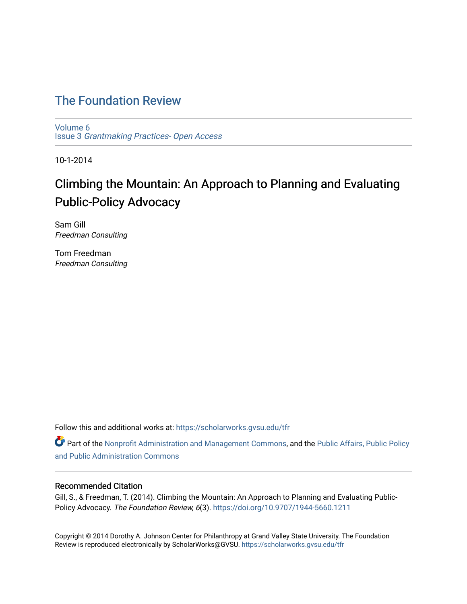## [The Foundation Review](https://scholarworks.gvsu.edu/tfr)

[Volume 6](https://scholarworks.gvsu.edu/tfr/vol6) Issue 3 [Grantmaking Practices- Open Access](https://scholarworks.gvsu.edu/tfr/vol6/iss3) 

10-1-2014

# Climbing the Mountain: An Approach to Planning and Evaluating Public-Policy Advocacy

Sam Gill Freedman Consulting

Tom Freedman Freedman Consulting

Follow this and additional works at: [https://scholarworks.gvsu.edu/tfr](https://scholarworks.gvsu.edu/tfr?utm_source=scholarworks.gvsu.edu%2Ftfr%2Fvol6%2Fiss3%2F7&utm_medium=PDF&utm_campaign=PDFCoverPages)

Part of the [Nonprofit Administration and Management Commons,](http://network.bepress.com/hgg/discipline/1228?utm_source=scholarworks.gvsu.edu%2Ftfr%2Fvol6%2Fiss3%2F7&utm_medium=PDF&utm_campaign=PDFCoverPages) and the Public Affairs, Public Policy [and Public Administration Commons](http://network.bepress.com/hgg/discipline/393?utm_source=scholarworks.gvsu.edu%2Ftfr%2Fvol6%2Fiss3%2F7&utm_medium=PDF&utm_campaign=PDFCoverPages) 

## Recommended Citation

Gill, S., & Freedman, T. (2014). Climbing the Mountain: An Approach to Planning and Evaluating Public-Policy Advocacy. The Foundation Review, 6(3). <https://doi.org/10.9707/1944-5660.1211>

Copyright © 2014 Dorothy A. Johnson Center for Philanthropy at Grand Valley State University. The Foundation Review is reproduced electronically by ScholarWorks@GVSU.<https://scholarworks.gvsu.edu/tfr>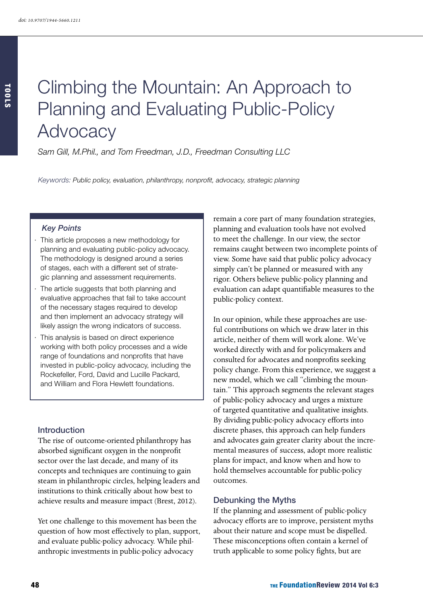# Climbing the Mountain: An Approach to Planning and Evaluating Public-Policy Advocacy

*Sam Gill, M.Phil., and Tom Freedman, J.D., Freedman Consulting LLC*

*Keywords: Public policy, evaluation, philanthropy, nonprofit, advocacy, strategic planning*

## *Key Points*

- This article proposes a new methodology for planning and evaluating public-policy advocacy. The methodology is designed around a series of stages, each with a different set of strategic planning and assessment requirements.
- · The article suggests that both planning and evaluative approaches that fail to take account of the necessary stages required to develop and then implement an advocacy strategy will likely assign the wrong indicators of success.
- · This analysis is based on direct experience working with both policy processes and a wide range of foundations and nonprofits that have invested in public-policy advocacy, including the Rockefeller, Ford, David and Lucille Packard, and William and Flora Hewlett foundations.

#### Introduction

The rise of outcome-oriented philanthropy has absorbed significant oxygen in the nonprofit sector over the last decade, and many of its concepts and techniques are continuing to gain steam in philanthropic circles, helping leaders and institutions to think critically about how best to achieve results and measure impact (Brest, 2012).

Yet one challenge to this movement has been the question of how most effectively to plan, support, and evaluate public-policy advocacy. While philanthropic investments in public-policy advocacy

remain a core part of many foundation strategies, planning and evaluation tools have not evolved to meet the challenge. In our view, the sector remains caught between two incomplete points of view. Some have said that public policy advocacy simply can't be planned or measured with any rigor. Others believe public-policy planning and evaluation can adapt quantifiable measures to the public-policy context.

In our opinion, while these approaches are useful contributions on which we draw later in this article, neither of them will work alone. We've worked directly with and for policymakers and consulted for advocates and nonprofits seeking policy change. From this experience, we suggest a new model, which we call "climbing the mountain." This approach segments the relevant stages of public-policy advocacy and urges a mixture of targeted quantitative and qualitative insights. By dividing public-policy advocacy efforts into discrete phases, this approach can help funders and advocates gain greater clarity about the incremental measures of success, adopt more realistic plans for impact, and know when and how to hold themselves accountable for public-policy outcomes.

## Debunking the Myths

If the planning and assessment of public-policy advocacy efforts are to improve, persistent myths about their nature and scope must be dispelled. These misconceptions often contain a kernel of truth applicable to some policy fights, but are

TOOLS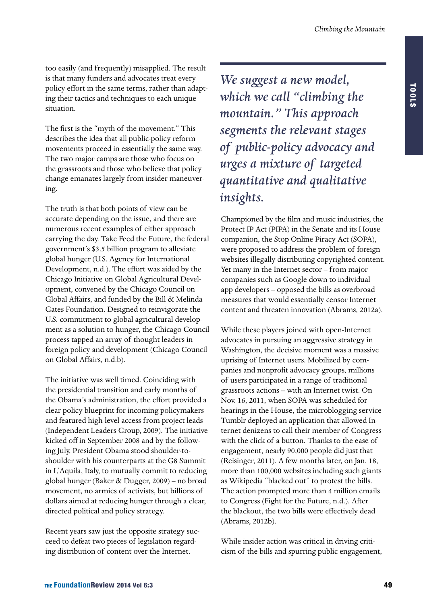too easily (and frequently) misapplied. The result is that many funders and advocates treat every policy effort in the same terms, rather than adapting their tactics and techniques to each unique situation.

The first is the "myth of the movement." This describes the idea that all public-policy reform movements proceed in essentially the same way. The two major camps are those who focus on the grassroots and those who believe that policy change emanates largely from insider maneuvering.

The truth is that both points of view can be accurate depending on the issue, and there are numerous recent examples of either approach carrying the day. Take Feed the Future, the federal government's \$3.5 billion program to alleviate global hunger (U.S. Agency for International Development, n.d.). The effort was aided by the Chicago Initiative on Global Agricultural Development, convened by the Chicago Council on Global Affairs, and funded by the Bill & Melinda Gates Foundation. Designed to reinvigorate the U.S. commitment to global agricultural development as a solution to hunger, the Chicago Council process tapped an array of thought leaders in foreign policy and development (Chicago Council on Global Affairs, n.d.b).

The initiative was well timed. Coinciding with the presidential transition and early months of the Obama's administration, the effort provided a clear policy blueprint for incoming policymakers and featured high-level access from project leads (Independent Leaders Group, 2009). The initiative kicked off in September 2008 and by the following July, President Obama stood shoulder-toshoulder with his counterparts at the G8 Summit in L'Aquila, Italy, to mutually commit to reducing global hunger (Baker & Dugger, 2009) – no broad movement, no armies of activists, but billions of dollars aimed at reducing hunger through a clear, directed political and policy strategy.

Recent years saw just the opposite strategy succeed to defeat two pieces of legislation regarding distribution of content over the Internet.

*We suggest a new model, which we call "climbing the mountain." This approach segments the relevant stages of public-policy advocacy and urges a mixture of targeted quantitative and qualitative insights.*

Championed by the film and music industries, the Protect IP Act (PIPA) in the Senate and its House companion, the Stop Online Piracy Act (SOPA), were proposed to address the problem of foreign websites illegally distributing copyrighted content. Yet many in the Internet sector – from major companies such as Google down to individual app developers – opposed the bills as overbroad measures that would essentially censor Internet content and threaten innovation (Abrams, 2012a).

While these players joined with open-Internet advocates in pursuing an aggressive strategy in Washington, the decisive moment was a massive uprising of Internet users. Mobilized by companies and nonprofit advocacy groups, millions of users participated in a range of traditional grassroots actions – with an Internet twist. On Nov. 16, 2011, when SOPA was scheduled for hearings in the House, the microblogging service Tumblr deployed an application that allowed Internet denizens to call their member of Congress with the click of a button. Thanks to the ease of engagement, nearly 90,000 people did just that (Reisinger, 2011). A few months later, on Jan. 18, more than 100,000 websites including such giants as Wikipedia "blacked out" to protest the bills. The action prompted more than 4 million emails to Congress (Fight for the Future, n.d.). After the blackout, the two bills were effectively dead (Abrams, 2012b).

While insider action was critical in driving criticism of the bills and spurring public engagement,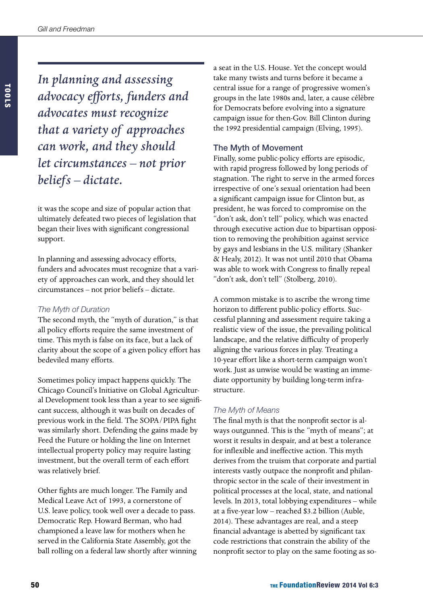*In planning and assessing advocacy efforts, funders and advocates must recognize that a variety of approaches can work, and they should let circumstances – not prior* 

*beliefs – dictate.* 

it was the scope and size of popular action that ultimately defeated two pieces of legislation that began their lives with significant congressional support.

In planning and assessing advocacy efforts, funders and advocates must recognize that a variety of approaches can work, and they should let circumstances – not prior beliefs – dictate.

## *The Myth of Duration*

The second myth, the "myth of duration," is that all policy efforts require the same investment of time. This myth is false on its face, but a lack of clarity about the scope of a given policy effort has bedeviled many efforts.

Sometimes policy impact happens quickly. The Chicago Council's Initiative on Global Agricultural Development took less than a year to see significant success, although it was built on decades of previous work in the field. The SOPA/PIPA fight was similarly short. Defending the gains made by Feed the Future or holding the line on Internet intellectual property policy may require lasting investment, but the overall term of each effort was relatively brief.

Other fights are much longer. The Family and Medical Leave Act of 1993, a cornerstone of U.S. leave policy, took well over a decade to pass. Democratic Rep. Howard Berman, who had championed a leave law for mothers when he served in the California State Assembly, got the ball rolling on a federal law shortly after winning a seat in the U.S. House. Yet the concept would take many twists and turns before it became a central issue for a range of progressive women's groups in the late 1980s and, later, a cause célèbre for Democrats before evolving into a signature campaign issue for then-Gov. Bill Clinton during the 1992 presidential campaign (Elving, 1995).

## The Myth of Movement

Finally, some public-policy efforts are episodic, with rapid progress followed by long periods of stagnation. The right to serve in the armed forces irrespective of one's sexual orientation had been a significant campaign issue for Clinton but, as president, he was forced to compromise on the "don't ask, don't tell" policy, which was enacted through executive action due to bipartisan opposition to removing the prohibition against service by gays and lesbians in the U.S. military (Shanker & Healy, 2012). It was not until 2010 that Obama was able to work with Congress to finally repeal "don't ask, don't tell" (Stolberg, 2010).

A common mistake is to ascribe the wrong time horizon to different public-policy efforts. Successful planning and assessment require taking a realistic view of the issue, the prevailing political landscape, and the relative difficulty of properly aligning the various forces in play. Treating a 10-year effort like a short-term campaign won't work. Just as unwise would be wasting an immediate opportunity by building long-term infrastructure.

## *The Myth of Means*

The final myth is that the nonprofit sector is always outgunned. This is the "myth of means"; at worst it results in despair, and at best a tolerance for inflexible and ineffective action. This myth derives from the truism that corporate and partial interests vastly outpace the nonprofit and philanthropic sector in the scale of their investment in political processes at the local, state, and national levels. In 2013, total lobbying expenditures – while at a five-year low – reached \$3.2 billion (Auble, 2014). These advantages are real, and a steep financial advantage is abetted by significant tax code restrictions that constrain the ability of the nonprofit sector to play on the same footing as so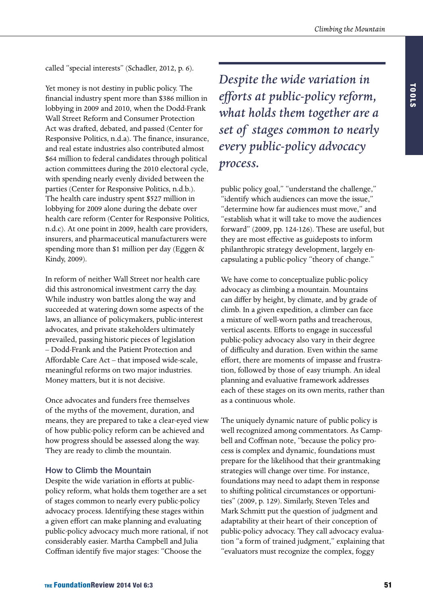called "special interests" (Schadler, 2012, p. 6).

Yet money is not destiny in public policy. The financial industry spent more than \$386 million in lobbying in 2009 and 2010, when the Dodd-Frank Wall Street Reform and Consumer Protection Act was drafted, debated, and passed (Center for Responsive Politics, n.d.a). The finance, insurance, and real estate industries also contributed almost \$64 million to federal candidates through political action committees during the 2010 electoral cycle, with spending nearly evenly divided between the parties (Center for Responsive Politics, n.d.b.). The health care industry spent \$527 million in lobbying for 2009 alone during the debate over health care reform (Center for Responsive Politics, n.d.c). At one point in 2009, health care providers, insurers, and pharmaceutical manufacturers were spending more than \$1 million per day (Eggen & Kindy, 2009).

In reform of neither Wall Street nor health care did this astronomical investment carry the day. While industry won battles along the way and succeeded at watering down some aspects of the laws, an alliance of policymakers, public-interest advocates, and private stakeholders ultimately prevailed, passing historic pieces of legislation – Dodd-Frank and the Patient Protection and Affordable Care Act – that imposed wide-scale, meaningful reforms on two major industries. Money matters, but it is not decisive.

Once advocates and funders free themselves of the myths of the movement, duration, and means, they are prepared to take a clear-eyed view of how public-policy reform can be achieved and how progress should be assessed along the way. They are ready to climb the mountain.

## How to Climb the Mountain

Despite the wide variation in efforts at publicpolicy reform, what holds them together are a set of stages common to nearly every public-policy advocacy process. Identifying these stages within a given effort can make planning and evaluating public-policy advocacy much more rational, if not considerably easier. Martha Campbell and Julia Coffman identify five major stages: "Choose the

*Despite the wide variation in efforts at public-policy reform, what holds them together are a set of stages common to nearly every public-policy advocacy process.*

public policy goal," "understand the challenge," "identify which audiences can move the issue," "determine how far audiences must move," and "establish what it will take to move the audiences forward" (2009, pp. 124-126). These are useful, but they are most effective as guideposts to inform philanthropic strategy development, largely encapsulating a public-policy "theory of change."

We have come to conceptualize public-policy advocacy as climbing a mountain. Mountains can differ by height, by climate, and by grade of climb. In a given expedition, a climber can face a mixture of well-worn paths and treacherous, vertical ascents. Efforts to engage in successful public-policy advocacy also vary in their degree of difficulty and duration. Even within the same effort, there are moments of impasse and frustration, followed by those of easy triumph. An ideal planning and evaluative framework addresses each of these stages on its own merits, rather than as a continuous whole.

The uniquely dynamic nature of public policy is well recognized among commentators. As Campbell and Coffman note, "because the policy process is complex and dynamic, foundations must prepare for the likelihood that their grantmaking strategies will change over time. For instance, foundations may need to adapt them in response to shifting political circumstances or opportunities" (2009, p. 129). Similarly, Steven Teles and Mark Schmitt put the question of judgment and adaptability at their heart of their conception of public-policy advocacy. They call advocacy evaluation "a form of trained judgment," explaining that "evaluators must recognize the complex, foggy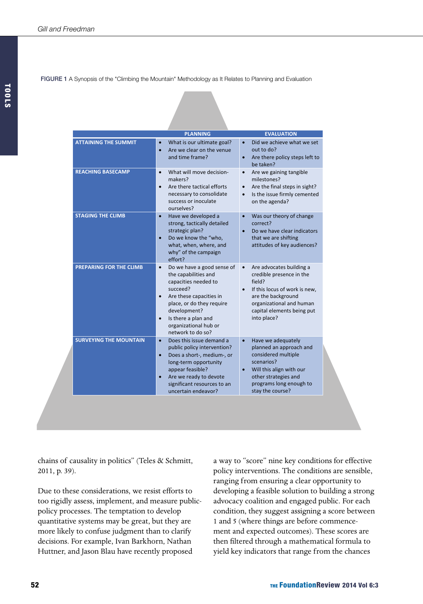FIGURE 1 A Synopsis of the "Climbing the Mountain" Methodology as It Relates to Planning and Evaluation

|                               | <b>PLANNING</b>                                                                                                                                                                                                                                                            | <b>EVALUATION</b>                                                                                                                                                                                                        |
|-------------------------------|----------------------------------------------------------------------------------------------------------------------------------------------------------------------------------------------------------------------------------------------------------------------------|--------------------------------------------------------------------------------------------------------------------------------------------------------------------------------------------------------------------------|
| <b>ATTAINING THE SUMMIT</b>   | What is our ultimate goal?<br>$\bullet$<br>Are we clear on the venue<br>$\bullet$<br>and time frame?                                                                                                                                                                       | Did we achieve what we set<br>$\bullet$<br>out to do?<br>Are there policy steps left to<br>$\bullet$<br>be taken?                                                                                                        |
| <b>REACHING BASECAMP</b>      | What will move decision-<br>$\bullet$<br>makers?<br>Are there tactical efforts<br>$\bullet$<br>necessary to consolidate<br>success or inoculate<br>ourselves?                                                                                                              | Are we gaining tangible<br>$\bullet$<br>milestones?<br>Are the final steps in sight?<br>$\bullet$<br>Is the issue firmly cemented<br>$\bullet$<br>on the agenda?                                                         |
| <b>STAGING THE CLIMB</b>      | Have we developed a<br>$\bullet$<br>strong, tactically detailed<br>strategic plan?<br>Do we know the "who,<br>$\bullet$<br>what, when, where, and<br>why" of the campaign<br>effort?                                                                                       | Was our theory of change<br>$\bullet$<br>correct?<br>Do we have clear indicators<br>$\bullet$<br>that we are shifting<br>attitudes of key audiences?                                                                     |
| PREPARING FOR THE CLIMB       | Do we have a good sense of<br>$\bullet$<br>the capabilities and<br>capacities needed to<br>succeed?<br>Are these capacities in<br>$\bullet$<br>place, or do they require<br>development?<br>Is there a plan and<br>$\bullet$<br>organizational hub or<br>network to do so? | Are advocates building a<br>$\bullet$<br>credible presence in the<br>field?<br>If this locus of work is new,<br>$\bullet$<br>are the background<br>organizational and human<br>capital elements being put<br>into place? |
| <b>SURVEYING THE MOUNTAIN</b> | Does this issue demand a<br>$\bullet$<br>public policy intervention?<br>Does a short-, medium-, or<br>$\bullet$<br>long-term opportunity<br>appear feasible?<br>Are we ready to devote<br>$\bullet$<br>significant resources to an<br>uncertain endeavor?                  | Have we adequately<br>$\bullet$<br>planned an approach and<br>considered multiple<br>scenarios?<br>Will this align with our<br>$\bullet$<br>other strategies and<br>programs long enough to<br>stay the course?          |

chains of causality in politics" (Teles & Schmitt, 2011, p. 39).

Due to these considerations, we resist efforts to too rigidly assess, implement, and measure publicpolicy processes. The temptation to develop quantitative systems may be great, but they are more likely to confuse judgment than to clarify decisions. For example, Ivan Barkhorn, Nathan Huttner, and Jason Blau have recently proposed

a way to "score" nine key conditions for effective policy interventions. The conditions are sensible, ranging from ensuring a clear opportunity to developing a feasible solution to building a strong advocacy coalition and engaged public. For each condition, they suggest assigning a score between 1 and 5 (where things are before commencement and expected outcomes). These scores are then filtered through a mathematical formula to yield key indicators that range from the chances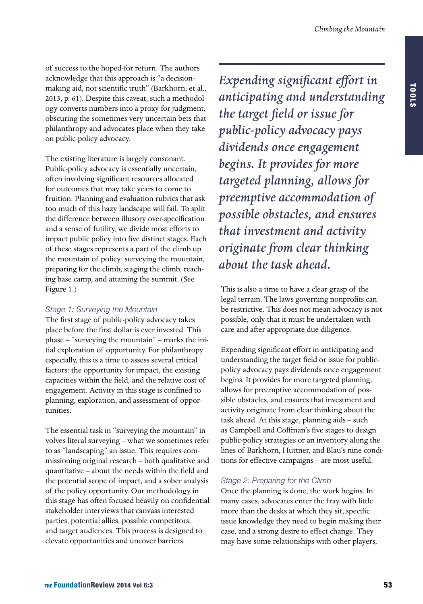of success to the hoped-for return. The authors acknowledge that this approach is "a decisionmaking aid, not scientific truth" (Barkhorn, et al., 2013, p. 61). Despite this caveat, such a methodology converts numbers into a proxy for judgment, obscuring the sometimes very uncertain bets that philanthropy and advocates place when they take on public-policy advocacy.

The existing literature is largely consonant. Public-policy advocacy is essentially uncertain, often involving significant resources allocated for outcomes that may take years to come to fruition. Planning and evaluation rubrics that ask too much of this hazy landscape will fail. To split the difference between illusory over-specification and a sense of futility, we divide most efforts to impact public policy into five distinct stages. Each of these stages represents a part of the climb up the mountain of policy: surveying the mountain, preparing for the climb, staging the climb, reaching base camp, and attaining the summit. (See Figure 1.)

## *Stage 1: Surveying the Mountain*

The first stage of public-policy advocacy takes place before the first dollar is ever invested. This phase – "surveying the mountain" – marks the initial exploration of opportunity. For philanthropy especially, this is a time to assess several critical factors: the opportunity for impact, the existing capacities within the field, and the relative cost of engagement. Activity in this stage is confined to planning, exploration, and assessment of opportunities.

The essential task in "surveying the mountain" involves literal surveying – what we sometimes refer to as "landscaping" an issue. This requires commissioning original research – both qualitative and quantitative – about the needs within the field and the potential scope of impact, and a sober analysis of the policy opportunity. Our methodology in this stage has often focused heavily on confidential stakeholder interviews that canvass interested parties, potential allies, possible competitors, and target audiences. This process is designed to elevate opportunities and uncover barriers.

*Expending significant effort in anticipating and understanding the target field or issue for public-policy advocacy pays dividends once engagement begins. It provides for more targeted planning, allows for preemptive accommodation of possible obstacles, and ensures that investment and activity originate from clear thinking about the task ahead.*

This is also a time to have a clear grasp of the legal terrain. The laws governing nonprofits can be restrictive. This does not mean advocacy is not possible, only that it must be undertaken with care and after appropriate due diligence.

Expending significant effort in anticipating and understanding the target field or issue for publicpolicy advocacy pays dividends once engagement begins. It provides for more targeted planning, allows for preemptive accommodation of possible obstacles, and ensures that investment and activity originate from clear thinking about the task ahead. At this stage, planning aids – such as Campbell and Coffman's five stages to design public-policy strategies or an inventory along the lines of Barkhorn, Huttner, and Blau's nine conditions for effective campaigns – are most useful.

## *Stage 2: Preparing for the Climb*

Once the planning is done, the work begins. In many cases, advocates enter the fray with little more than the desks at which they sit, specific issue knowledge they need to begin making their case, and a strong desire to effect change. They may have some relationships with other players,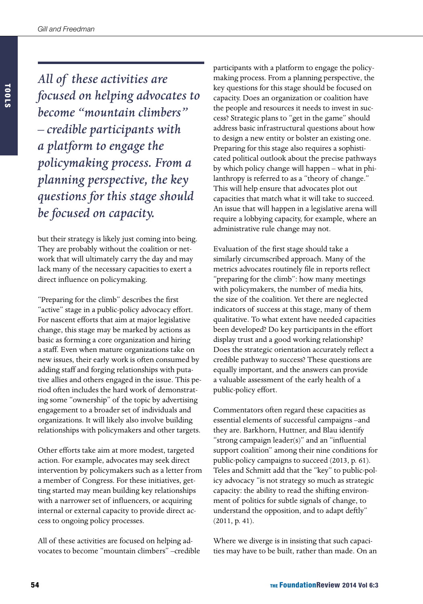*All of these activities are focused on helping advocates to become "mountain climbers" – credible participants with a platform to engage the policymaking process. From a planning perspective, the key questions for this stage should be focused on capacity.* 

but their strategy is likely just coming into being. They are probably without the coalition or network that will ultimately carry the day and may lack many of the necessary capacities to exert a direct influence on policymaking.

"Preparing for the climb" describes the first "active" stage in a public-policy advocacy effort. For nascent efforts that aim at major legislative change, this stage may be marked by actions as basic as forming a core organization and hiring a staff. Even when mature organizations take on new issues, their early work is often consumed by adding staff and forging relationships with putative allies and others engaged in the issue. This period often includes the hard work of demonstrating some "ownership" of the topic by advertising engagement to a broader set of individuals and organizations. It will likely also involve building relationships with policymakers and other targets.

Other efforts take aim at more modest, targeted action. For example, advocates may seek direct intervention by policymakers such as a letter from a member of Congress. For these initiatives, getting started may mean building key relationships with a narrower set of influencers, or acquiring internal or external capacity to provide direct access to ongoing policy processes.

All of these activities are focused on helping advocates to become "mountain climbers" –credible

participants with a platform to engage the policymaking process. From a planning perspective, the key questions for this stage should be focused on capacity. Does an organization or coalition have the people and resources it needs to invest in success? Strategic plans to "get in the game" should address basic infrastructural questions about how to design a new entity or bolster an existing one. Preparing for this stage also requires a sophisticated political outlook about the precise pathways by which policy change will happen – what in philanthropy is referred to as a "theory of change." This will help ensure that advocates plot out capacities that match what it will take to succeed. An issue that will happen in a legislative arena will require a lobbying capacity, for example, where an administrative rule change may not.

Evaluation of the first stage should take a similarly circumscribed approach. Many of the metrics advocates routinely file in reports reflect "preparing for the climb": how many meetings with policymakers, the number of media hits, the size of the coalition. Yet there are neglected indicators of success at this stage, many of them qualitative. To what extent have needed capacities been developed? Do key participants in the effort display trust and a good working relationship? Does the strategic orientation accurately reflect a credible pathway to success? These questions are equally important, and the answers can provide a valuable assessment of the early health of a public-policy effort.

Commentators often regard these capacities as essential elements of successful campaigns –and they are. Barkhorn, Huttner, and Blau identify "strong campaign leader(s)" and an "influential support coalition" among their nine conditions for public-policy campaigns to succeed (2013, p. 61). Teles and Schmitt add that the "key" to public-policy advocacy "is not strategy so much as strategic capacity: the ability to read the shifting environment of politics for subtle signals of change, to understand the opposition, and to adapt deftly" (2011, p. 41).

Where we diverge is in insisting that such capacities may have to be built, rather than made. On an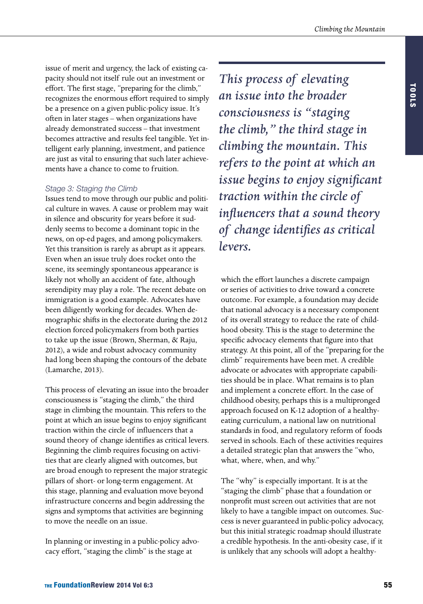issue of merit and urgency, the lack of existing capacity should not itself rule out an investment or effort. The first stage, "preparing for the climb," recognizes the enormous effort required to simply be a presence on a given public-policy issue. It's often in later stages – when organizations have already demonstrated success – that investment becomes attractive and results feel tangible. Yet intelligent early planning, investment, and patience are just as vital to ensuring that such later achievements have a chance to come to fruition.

## *Stage 3: Staging the Climb*

Issues tend to move through our public and political culture in waves. A cause or problem may wait in silence and obscurity for years before it suddenly seems to become a dominant topic in the news, on op-ed pages, and among policymakers. Yet this transition is rarely as abrupt as it appears. Even when an issue truly does rocket onto the scene, its seemingly spontaneous appearance is likely not wholly an accident of fate, although serendipity may play a role. The recent debate on immigration is a good example. Advocates have been diligently working for decades. When demographic shifts in the electorate during the 2012 election forced policymakers from both parties to take up the issue (Brown, Sherman, & Raju, 2012), a wide and robust advocacy community had long been shaping the contours of the debate (Lamarche, 2013).

This process of elevating an issue into the broader consciousness is "staging the climb," the third stage in climbing the mountain. This refers to the point at which an issue begins to enjoy significant traction within the circle of influencers that a sound theory of change identifies as critical levers. Beginning the climb requires focusing on activities that are clearly aligned with outcomes, but are broad enough to represent the major strategic pillars of short- or long-term engagement. At this stage, planning and evaluation move beyond infrastructure concerns and begin addressing the signs and symptoms that activities are beginning to move the needle on an issue.

In planning or investing in a public-policy advocacy effort, "staging the climb" is the stage at

*This process of elevating an issue into the broader consciousness is "staging the climb," the third stage in climbing the mountain. This refers to the point at which an issue begins to enjoy significant traction within the circle of influencers that a sound theory of change identifies as critical levers.* 

which the effort launches a discrete campaign or series of activities to drive toward a concrete outcome. For example, a foundation may decide that national advocacy is a necessary component of its overall strategy to reduce the rate of childhood obesity. This is the stage to determine the specific advocacy elements that figure into that strategy. At this point, all of the "preparing for the climb" requirements have been met. A credible advocate or advocates with appropriate capabilities should be in place. What remains is to plan and implement a concrete effort. In the case of childhood obesity, perhaps this is a multipronged approach focused on K-12 adoption of a healthyeating curriculum, a national law on nutritional standards in food, and regulatory reform of foods served in schools. Each of these activities requires a detailed strategic plan that answers the "who, what, where, when, and why."

The "why" is especially important. It is at the "staging the climb" phase that a foundation or nonprofit must screen out activities that are not likely to have a tangible impact on outcomes. Success is never guaranteed in public-policy advocacy, but this initial strategic roadmap should illustrate a credible hypothesis. In the anti-obesity case, if it is unlikely that any schools will adopt a healthy-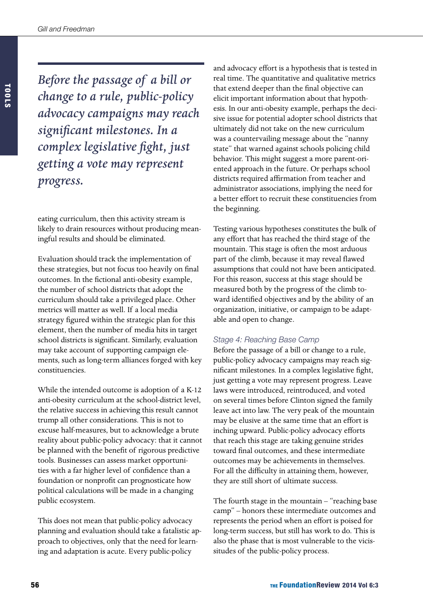*Before the passage of a bill or change to a rule, public-policy advocacy campaigns may reach significant milestones. In a complex legislative fight, just getting a vote may represent progress.*

eating curriculum, then this activity stream is likely to drain resources without producing meaningful results and should be eliminated.

Evaluation should track the implementation of these strategies, but not focus too heavily on final outcomes. In the fictional anti-obesity example, the number of school districts that adopt the curriculum should take a privileged place. Other metrics will matter as well. If a local media strategy figured within the strategic plan for this element, then the number of media hits in target school districts is significant. Similarly, evaluation may take account of supporting campaign elements, such as long-term alliances forged with key constituencies.

While the intended outcome is adoption of a K-12 anti-obesity curriculum at the school-district level, the relative success in achieving this result cannot trump all other considerations. This is not to excuse half-measures, but to acknowledge a brute reality about public-policy advocacy: that it cannot be planned with the benefit of rigorous predictive tools. Businesses can assess market opportunities with a far higher level of confidence than a foundation or nonprofit can prognosticate how political calculations will be made in a changing public ecosystem.

This does not mean that public-policy advocacy planning and evaluation should take a fatalistic approach to objectives, only that the need for learning and adaptation is acute. Every public-policy

and advocacy effort is a hypothesis that is tested in real time. The quantitative and qualitative metrics that extend deeper than the final objective can elicit important information about that hypothesis. In our anti-obesity example, perhaps the decisive issue for potential adopter school districts that ultimately did not take on the new curriculum was a countervailing message about the "nanny state" that warned against schools policing child behavior. This might suggest a more parent-oriented approach in the future. Or perhaps school districts required affirmation from teacher and administrator associations, implying the need for a better effort to recruit these constituencies from the beginning.

Testing various hypotheses constitutes the bulk of any effort that has reached the third stage of the mountain. This stage is often the most arduous part of the climb, because it may reveal flawed assumptions that could not have been anticipated. For this reason, success at this stage should be measured both by the progress of the climb toward identified objectives and by the ability of an organization, initiative, or campaign to be adaptable and open to change.

## *Stage 4: Reaching Base Camp*

Before the passage of a bill or change to a rule, public-policy advocacy campaigns may reach significant milestones. In a complex legislative fight, just getting a vote may represent progress. Leave laws were introduced, reintroduced, and voted on several times before Clinton signed the family leave act into law. The very peak of the mountain may be elusive at the same time that an effort is inching upward. Public-policy advocacy efforts that reach this stage are taking genuine strides toward final outcomes, and these intermediate outcomes may be achievements in themselves. For all the difficulty in attaining them, however, they are still short of ultimate success.

The fourth stage in the mountain – "reaching base camp" – honors these intermediate outcomes and represents the period when an effort is poised for long-term success, but still has work to do. This is also the phase that is most vulnerable to the vicissitudes of the public-policy process.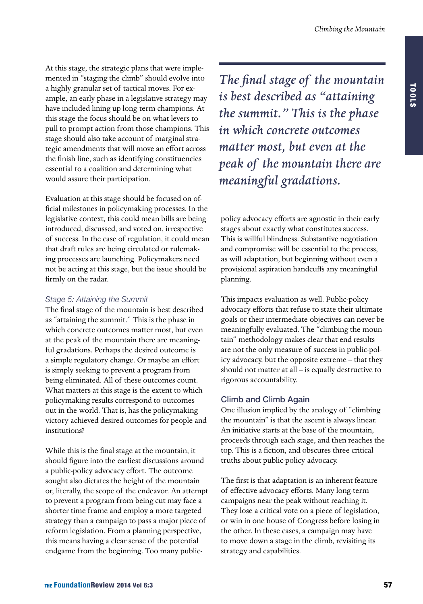At this stage, the strategic plans that were implemented in "staging the climb" should evolve into a highly granular set of tactical moves. For example, an early phase in a legislative strategy may have included lining up long-term champions. At this stage the focus should be on what levers to pull to prompt action from those champions. This stage should also take account of marginal strategic amendments that will move an effort across the finish line, such as identifying constituencies essential to a coalition and determining what would assure their participation.

Evaluation at this stage should be focused on official milestones in policymaking processes. In the legislative context, this could mean bills are being introduced, discussed, and voted on, irrespective of success. In the case of regulation, it could mean that draft rules are being circulated or rulemaking processes are launching. Policymakers need not be acting at this stage, but the issue should be firmly on the radar.

### *Stage 5: Attaining the Summit*

The final stage of the mountain is best described as "attaining the summit." This is the phase in which concrete outcomes matter most, but even at the peak of the mountain there are meaningful gradations. Perhaps the desired outcome is a simple regulatory change. Or maybe an effort is simply seeking to prevent a program from being eliminated. All of these outcomes count. What matters at this stage is the extent to which policymaking results correspond to outcomes out in the world. That is, has the policymaking victory achieved desired outcomes for people and institutions?

While this is the final stage at the mountain, it should figure into the earliest discussions around a public-policy advocacy effort. The outcome sought also dictates the height of the mountain or, literally, the scope of the endeavor. An attempt to prevent a program from being cut may face a shorter time frame and employ a more targeted strategy than a campaign to pass a major piece of reform legislation. From a planning perspective, this means having a clear sense of the potential endgame from the beginning. Too many public*The final stage of the mountain is best described as "attaining the summit." This is the phase in which concrete outcomes matter most, but even at the peak of the mountain there are meaningful gradations.*

policy advocacy efforts are agnostic in their early stages about exactly what constitutes success. This is willful blindness. Substantive negotiation and compromise will be essential to the process, as will adaptation, but beginning without even a provisional aspiration handcuffs any meaningful planning.

This impacts evaluation as well. Public-policy advocacy efforts that refuse to state their ultimate goals or their intermediate objectives can never be meaningfully evaluated. The "climbing the mountain" methodology makes clear that end results are not the only measure of success in public-policy advocacy, but the opposite extreme – that they should not matter at all – is equally destructive to rigorous accountability.

## Climb and Climb Again

One illusion implied by the analogy of "climbing the mountain" is that the ascent is always linear. An initiative starts at the base of the mountain, proceeds through each stage, and then reaches the top. This is a fiction, and obscures three critical truths about public-policy advocacy.

The first is that adaptation is an inherent feature of effective advocacy efforts. Many long-term campaigns near the peak without reaching it. They lose a critical vote on a piece of legislation, or win in one house of Congress before losing in the other. In these cases, a campaign may have to move down a stage in the climb, revisiting its strategy and capabilities.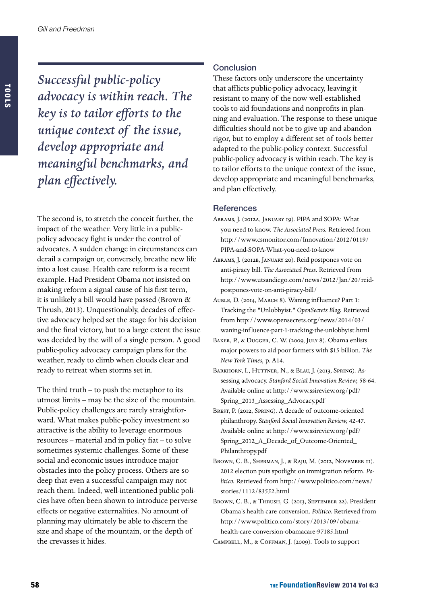*Successful public-policy advocacy is within reach. The key is to tailor efforts to the unique context of the issue, develop appropriate and meaningful benchmarks, and plan effectively.*

The second is, to stretch the conceit further, the impact of the weather. Very little in a publicpolicy advocacy fight is under the control of advocates. A sudden change in circumstances can derail a campaign or, conversely, breathe new life into a lost cause. Health care reform is a recent example. Had President Obama not insisted on making reform a signal cause of his first term, it is unlikely a bill would have passed (Brown & Thrush, 2013). Unquestionably, decades of effective advocacy helped set the stage for his decision and the final victory, but to a large extent the issue was decided by the will of a single person. A good public-policy advocacy campaign plans for the weather, ready to climb when clouds clear and ready to retreat when storms set in.

The third truth – to push the metaphor to its utmost limits – may be the size of the mountain. Public-policy challenges are rarely straightforward. What makes public-policy investment so attractive is the ability to leverage enormous resources – material and in policy fiat – to solve sometimes systemic challenges. Some of these social and economic issues introduce major obstacles into the policy process. Others are so deep that even a successful campaign may not reach them. Indeed, well-intentioned public policies have often been shown to introduce perverse effects or negative externalities. No amount of planning may ultimately be able to discern the size and shape of the mountain, or the depth of the crevasses it hides.

## **Conclusion**

These factors only underscore the uncertainty that afflicts public-policy advocacy, leaving it resistant to many of the now well-established tools to aid foundations and nonprofits in planning and evaluation. The response to these unique difficulties should not be to give up and abandon rigor, but to employ a different set of tools better adapted to the public-policy context. Successful public-policy advocacy is within reach. The key is to tailor efforts to the unique context of the issue, develop appropriate and meaningful benchmarks, and plan effectively.

## **References**

- Abrams, J. (2012a, January 19). PIPA and SOPA: What you need to know. *The Associated Press.* Retrieved from [http://www.csmonitor.com/Innovation/2012/0119/](http://www.csmonitor.com/Innovation/2012/0119/PIPA-and-SOPA-What-you-need-to-know) [PIPA-and-SOPA-What-you-need-to-know](http://www.csmonitor.com/Innovation/2012/0119/PIPA-and-SOPA-What-you-need-to-know)
- Abrams, J. (2012b, January 20). Reid postpones vote on anti-piracy bill. *The Associated Press.* Retrieved from [http://www.utsandiego.com/news/2012/Jan/20/reid](http://www.utsandiego.com/news/2012/Jan/20/reid-postpones-vote-on-anti-piracy-bill/)[postpones-vote-on-anti-piracy-bill/](http://www.utsandiego.com/news/2012/Jan/20/reid-postpones-vote-on-anti-piracy-bill/)
- AUBLE, D. (2014, MARCH 8). Waning influence? Part 1: Tracking the "Unlobbyist." *OpenSecrets Blog.* Retrieved from [http://www.opensecrets.org/news/2014/03/](http://www.opensecrets.org/news/2014/03/waning-influence-part-1-tracking-the-unlobbyist/) [waning-inf luence-part-1-tracking-the-unlobbyist.html](http://www.opensecrets.org/news/2014/03/waning-influence-part-1-tracking-the-unlobbyist/)
- BAKER, P., & DUGGER, C. W. (2009, JULY 8). Obama enlists major powers to aid poor farmers with \$15 billion. *The New York Times,* p. A14.
- BARKHORN, I., HUTTNER, N., & BLAU, J. (2013, SPRING). Assessing advocacy. *Stanford Social Innovation Review,* 58-64. Available online at [http://www.ssireview.org/pdf/](http://www.ssireview.org/pdf/Spring_2013_Assessing_Advocacy.pdf) [Spring\\_2013\\_Assessing\\_Advocacy.pdf](http://www.ssireview.org/pdf/Spring_2013_Assessing_Advocacy.pdf)
- Brest, P. (2012, Spring). A decade of outcome-oriented philanthropy. S*tanford Social Innovation Review,* 42-47. Available online at [http://www.ssireview.org/pdf/](http://www.ssireview.org/pdf/Spring_2012_A_Decade_of_Outcome-Oriented_Philanthropy.pdf) [Spring\\_2012\\_A\\_Decade\\_of\\_Outcome-Oriented\\_](http://www.ssireview.org/pdf/Spring_2012_A_Decade_of_Outcome-Oriented_Philanthropy.pdf) [Philanthropy.pdf](http://www.ssireview.org/pdf/Spring_2012_A_Decade_of_Outcome-Oriented_Philanthropy.pdf)
- BROWN, C. B., SHERMAN, J., & RAJU, M. (2012, NOVEMBER II). 2012 election puts spotlight on immigration reform. *Politico.* Retrieved from [http://www.politico.com/news/](http://www.politico.com/news/stories/1112/83552.html) [stories/1112/83552.html](http://www.politico.com/news/stories/1112/83552.html)
- Brown, C. B., & Thrush, G. (2013, September 22). President Obama's health care conversion. *Politico.* Retrieved from [http://www.politico.com/story/2013/09/obama](http://www.politico.com/story/2013/09/obama-health-care-conversion-obamacare-97185.html)[health-care-conversion-obamacare-97185.html](http://www.politico.com/story/2013/09/obama-health-care-conversion-obamacare-97185.html)
- Campbell, M., & Coffman, J. (2009). Tools to support